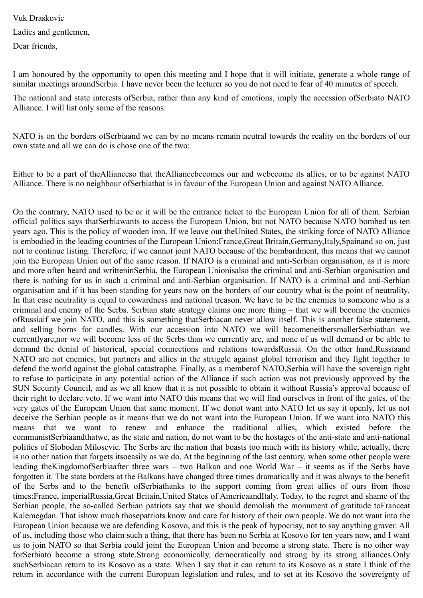Vuk Draskovic Ladies and gentlemen, Dear friends,

I am honoured by the opportunity to open this meeting and I hope that it will initiate, generate a whole range of similar meetings aroundSerbia. I have never been the lecturer so you do not need to fear of 40 minutes of speech.

The national and state interests ofSerbia, rather than any kind of emotions, imply the accession ofSerbiato NATO Alliance. I will list only some of the reasons:

NATO is on the borders ofSerbiaand we can by no means remain neutral towards the reality on the borders of our own state and all we can do is chose one of the two:

Either to be a part of theAllianceso that theAlliancebecomes our and webecome its allies, or to be against NATO Alliance. There is no neighbour ofSerbiathat is in favour of the European Union and against NATO Alliance.

On the contrary, NATO used to be or it will be the entrance ticket to the European Union for all of them. Serbian official politics says thatSerbiawants to access the European Union, but not NATO because NATO bombed us ten years ago. This is the policy of wooden iron. If we leave out theUnited States, the striking force of NATO Alliance is embodied in the leading countries of the European Union:France,Great Britain,Germany,Italy,Spainand so on, just not to continue listing. Therefore, if we cannot joint NATO because of the bombardment, this means that we cannot join the European Union out of the same reason. If NATO is a criminal and anti-Serbian organisation, as it is more and more often heard and writteninSerbia, the European Unionisalso the criminal and anti-Serbian organisation and there is nothing for us in such a criminal and anti-Serbian organisation. If NATO is a criminal and anti-Serbian organisation and if it has been standing for years now on the borders of our country what is the point of neutrality. In that case neutrality is equal to cowardness and national treason. We have to be the enemies to someone who is a criminal and enemy of the Serbs. Serbian state strategy claims one more thing – that we will become the enemies ofRussiaif we join NATO, and this is something thatSerbiacan never allow itself. This is another false statement, and selling horns for candles. With our accession into NATO we will becomeneithersmallerSerbiathan we currentlyare,nor we will become less of the Serbs than we currently are, and none of us will demand or be able to demand the denial of historical, special connections and relations towardsRussia. On the other hand,Russiaand NATO are not enemies, but partners and allies in the struggle against global terrorism and they fight together to defend the world against the global catastrophe. Finally, as a memberof NATO,Serbia will have the sovereign right to refuse to participate in any potential action of the Alliance if such action was not previously approved by the SUN Security Council, and as we all know that it is not possible to obtain it without Russia's approval because of their right to declare veto. If we want into NATO this means that we will find ourselves in front of the gates, of the very gates of the European Union that same moment. If we donot want into NATO let us say it openly, let us not deceive the Serbian people as it means that we do not want into the European Union. If we want into NATO this means that we want to renew and enhance the traditional allies, which existed before the communistSerbiaandthatwe, as the state and nation, do not want to be the hostages of the anti-state and anti-national politics of Slobodan Milosevic. The Serbs are the nation that boasts too much with its history while, actually, there is no other nation that forgets itsoeasily as we do. At the beginning of the last century, when some other people were leading theKingdomofSerbiaafter three wars – two Balkan and one World War – it seems as if the Serbs have forgotten it. The state borders at the Balkans have changed three times dramatically and it was always to the benefit of the Serbs and to the benefit ofSerbiathanks to the support coming from great allies of ours from those times:France, imperialRussia,Great Britain,United States of AmericaandItaly. Today, to the regret and shame of the Serbian people, the so-called Serbian patriots say that we should demolish the monument of gratitude toFranceat Kalemegdan. That ishow much thosepatriots know and care for history of their own people. We do not want into the European Union because we are defending Kosovo, and this is the peak of hypocrisy, not to say anything graver. All of us, including those who claim such a thing, that there has been no Serbia at Kosovo for ten years now, and I want us to join NATO so that Serbia could joint the European Union and become a strong state. There is no other way forSerbiato become a strong state.Strong economically, democratically and strong by its strong alliances.Only suchSerbiacan return to its Kosovo as a state. When I say that it can return to its Kosovo as a state I think of the return in accordance with the current European legislation and rules, and to set at its Kosovo the sovereignty of